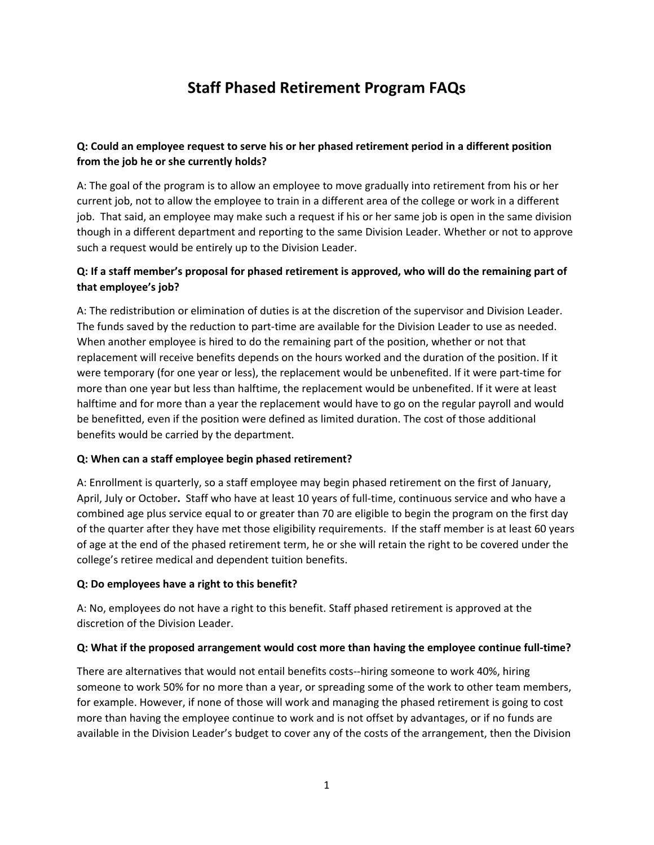# **Staff Phased Retirement Program FAQs**

# **Q: Could an employee request to serve his or her phased retirement period in a different position from the job he or she currently holds?**

A: The goal of the program is to allow an employee to move gradually into retirement from his or her current job, not to allow the employee to train in a different area of the college or work in a different job. That said, an employee may make such a request if his or her same job is open in the same division though in a different department and reporting to the same Division Leader. Whether or not to approve such a request would be entirely up to the Division Leader.

# **Q: If a staff member's proposal for phased retirement is approved, who will do the remaining part of that employee's job?**

A: The redistribution or elimination of duties is at the discretion of the supervisor and Division Leader. The funds saved by the reduction to part‐time are available for the Division Leader to use as needed. When another employee is hired to do the remaining part of the position, whether or not that replacement will receive benefits depends on the hours worked and the duration of the position. If it were temporary (for one year or less), the replacement would be unbenefited. If it were part‐time for more than one year but less than halftime, the replacement would be unbenefited. If it were at least halftime and for more than a year the replacement would have to go on the regular payroll and would be benefitted, even if the position were defined as limited duration. The cost of those additional benefits would be carried by the department.

#### **Q: When can a staff employee begin phased retirement?**

A: Enrollment is quarterly, so a staff employee may begin phased retirement on the first of January, April, July or October. Staff who have at least 10 years of full-time, continuous service and who have a combined age plus service equal to or greater than 70 are eligible to begin the program on the first day of the quarter after they have met those eligibility requirements. If the staff member is at least 60 years of age at the end of the phased retirement term, he or she will retain the right to be covered under the college's retiree medical and dependent tuition benefits.

#### **Q: Do employees have a right to this benefit?**

A: No, employees do not have a right to this benefit. Staff phased retirement is approved at the discretion of the Division Leader.

#### **Q: What if the proposed arrangement would cost more than having the employee continue full‐time?**

There are alternatives that would not entail benefits costs‐‐hiring someone to work 40%, hiring someone to work 50% for no more than a year, or spreading some of the work to other team members, for example. However, if none of those will work and managing the phased retirement is going to cost more than having the employee continue to work and is not offset by advantages, or if no funds are available in the Division Leader's budget to cover any of the costs of the arrangement, then the Division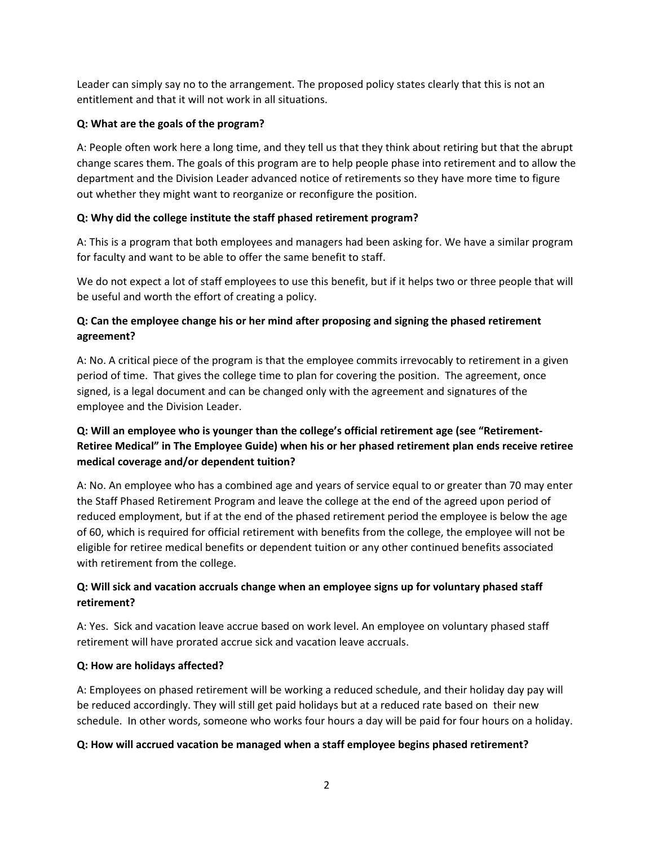Leader can simply say no to the arrangement. The proposed policy states clearly that this is not an entitlement and that it will not work in all situations.

## **Q: What are the goals of the program?**

A: People often work here a long time, and they tell us that they think about retiring but that the abrupt change scares them. The goals of this program are to help people phase into retirement and to allow the department and the Division Leader advanced notice of retirements so they have more time to figure out whether they might want to reorganize or reconfigure the position.

# **Q: Why did the college institute the staff phased retirement program?**

A: This is a program that both employees and managers had been asking for. We have a similar program for faculty and want to be able to offer the same benefit to staff.

We do not expect a lot of staff employees to use this benefit, but if it helps two or three people that will be useful and worth the effort of creating a policy.

# **Q: Can the employee change his or her mind after proposing and signing the phased retirement agreement?**

A: No. A critical piece of the program is that the employee commits irrevocably to retirement in a given period of time. That gives the college time to plan for covering the position. The agreement, once signed, is a legal document and can be changed only with the agreement and signatures of the employee and the Division Leader.

# **Q: Will an employee who is younger than the college's official retirement age (see "Retirement‐ Retiree Medical" in The Employee Guide) when his or her phased retirement plan ends receive retiree medical coverage and/or dependent tuition?**

A: No. An employee who has a combined age and years of service equal to or greater than 70 may enter the Staff Phased Retirement Program and leave the college at the end of the agreed upon period of reduced employment, but if at the end of the phased retirement period the employee is below the age of 60, which is required for official retirement with benefits from the college, the employee will not be eligible for retiree medical benefits or dependent tuition or any other continued benefits associated with retirement from the college.

# **Q: Will sick and vacation accruals change when an employee signs up for voluntary phased staff retirement?**

A: Yes. Sick and vacation leave accrue based on work level. An employee on voluntary phased staff retirement will have prorated accrue sick and vacation leave accruals.

#### **Q: How are holidays affected?**

A: Employees on phased retirement will be working a reduced schedule, and their holiday day pay will be reduced accordingly. They will still get paid holidays but at a reduced rate based on their new schedule. In other words, someone who works four hours a day will be paid for four hours on a holiday.

#### **Q: How will accrued vacation be managed when a staff employee begins phased retirement?**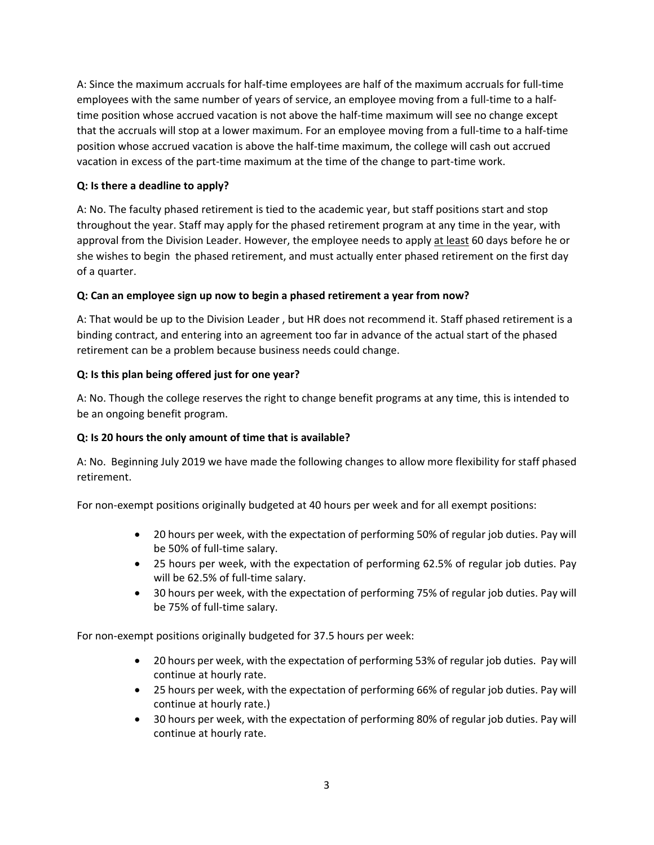A: Since the maximum accruals for half‐time employees are half of the maximum accruals for full‐time employees with the same number of years of service, an employee moving from a full-time to a halftime position whose accrued vacation is not above the half‐time maximum will see no change except that the accruals will stop at a lower maximum. For an employee moving from a full‐time to a half‐time position whose accrued vacation is above the half‐time maximum, the college will cash out accrued vacation in excess of the part‐time maximum at the time of the change to part‐time work.

#### **Q: Is there a deadline to apply?**

A: No. The faculty phased retirement is tied to the academic year, but staff positions start and stop throughout the year. Staff may apply for the phased retirement program at any time in the year, with approval from the Division Leader. However, the employee needs to apply at least 60 days before he or she wishes to begin the phased retirement, and must actually enter phased retirement on the first day of a quarter.

#### **Q: Can an employee sign up now to begin a phased retirement a year from now?**

A: That would be up to the Division Leader , but HR does not recommend it. Staff phased retirement is a binding contract, and entering into an agreement too far in advance of the actual start of the phased retirement can be a problem because business needs could change.

#### **Q: Is this plan being offered just for one year?**

A: No. Though the college reserves the right to change benefit programs at any time, this is intended to be an ongoing benefit program.

#### **Q: Is 20 hours the only amount of time that is available?**

A: No. Beginning July 2019 we have made the following changes to allow more flexibility for staff phased retirement.

For non-exempt positions originally budgeted at 40 hours per week and for all exempt positions:

- 20 hours per week, with the expectation of performing 50% of regular job duties. Pay will be 50% of full-time salary.
- 25 hours per week, with the expectation of performing 62.5% of regular job duties. Pay will be 62.5% of full-time salary.
- 30 hours per week, with the expectation of performing 75% of regular job duties. Pay will be 75% of full‐time salary.

For non-exempt positions originally budgeted for 37.5 hours per week:

- 20 hours per week, with the expectation of performing 53% of regular job duties. Pay will continue at hourly rate.
- 25 hours per week, with the expectation of performing 66% of regular job duties. Pay will continue at hourly rate.)
- 30 hours per week, with the expectation of performing 80% of regular job duties. Pay will continue at hourly rate.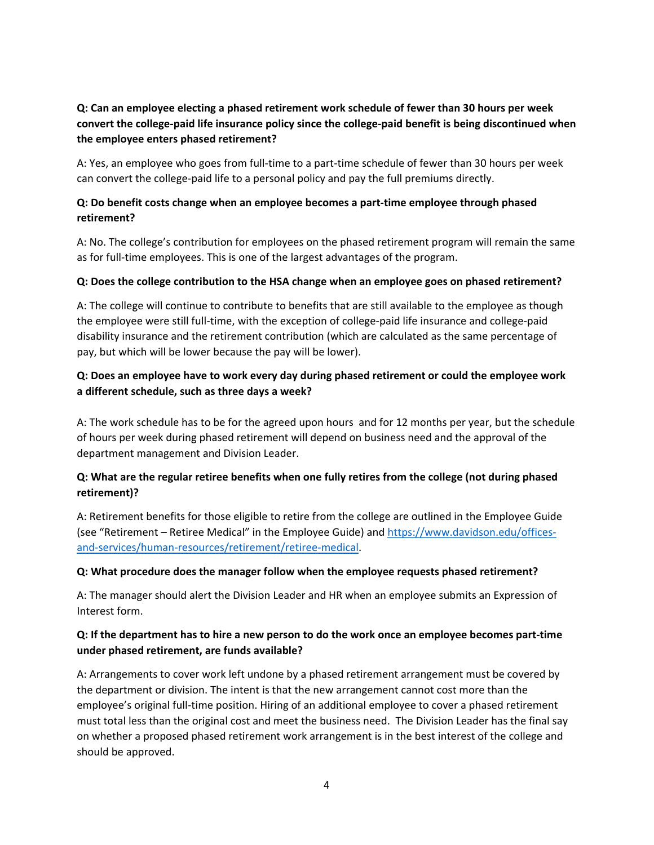# **Q: Can an employee electing a phased retirement work schedule of fewer than 30 hours per week convert the college‐paid life insurance policy since the college‐paid benefit is being discontinued when the employee enters phased retirement?**

A: Yes, an employee who goes from full-time to a part-time schedule of fewer than 30 hours per week can convert the college‐paid life to a personal policy and pay the full premiums directly.

## **Q: Do benefit costs change when an employee becomes a part‐time employee through phased retirement?**

A: No. The college's contribution for employees on the phased retirement program will remain the same as for full-time employees. This is one of the largest advantages of the program.

#### **Q: Does the college contribution to the HSA change when an employee goes on phased retirement?**

A: The college will continue to contribute to benefits that are still available to the employee as though the employee were still full‐time, with the exception of college‐paid life insurance and college‐paid disability insurance and the retirement contribution (which are calculated as the same percentage of pay, but which will be lower because the pay will be lower).

# **Q: Does an employee have to work every day during phased retirement or could the employee work a different schedule, such as three days a week?**

A: The work schedule has to be for the agreed upon hours and for 12 months per year, but the schedule of hours per week during phased retirement will depend on business need and the approval of the department management and Division Leader.

# **Q: What are the regular retiree benefits when one fully retires from the college (not during phased retirement)?**

A: Retirement benefits for those eligible to retire from the college are outlined in the Employee Guide (see "Retirement – Retiree Medical" in the Employee Guide) and https://www.davidson.edu/offices‐ and‐services/human‐resources/retirement/retiree‐medical.

#### **Q: What procedure does the manager follow when the employee requests phased retirement?**

A: The manager should alert the Division Leader and HR when an employee submits an Expression of Interest form.

# **Q: If the department has to hire a new person to do the work once an employee becomes part‐time under phased retirement, are funds available?**

A: Arrangements to cover work left undone by a phased retirement arrangement must be covered by the department or division. The intent is that the new arrangement cannot cost more than the employee's original full-time position. Hiring of an additional employee to cover a phased retirement must total less than the original cost and meet the business need. The Division Leader has the final say on whether a proposed phased retirement work arrangement is in the best interest of the college and should be approved.